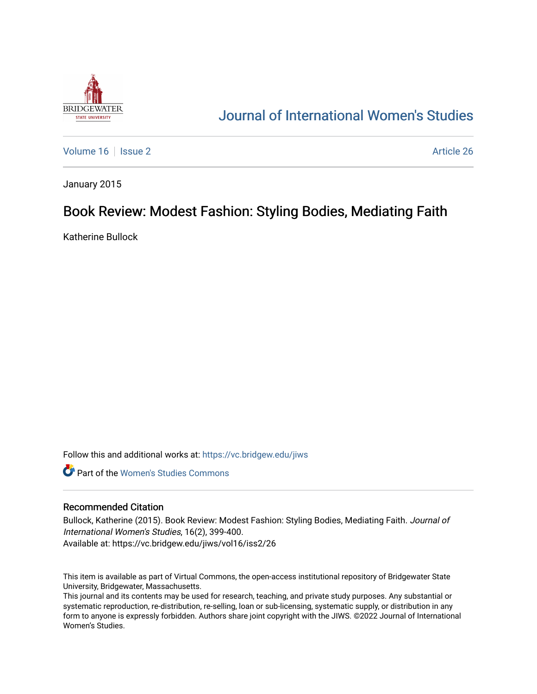

# [Journal of International Women's Studies](https://vc.bridgew.edu/jiws)

[Volume 16](https://vc.bridgew.edu/jiws/vol16) | [Issue 2](https://vc.bridgew.edu/jiws/vol16/iss2) Article 26

January 2015

## Book Review: Modest Fashion: Styling Bodies, Mediating Faith

Katherine Bullock

Follow this and additional works at: [https://vc.bridgew.edu/jiws](https://vc.bridgew.edu/jiws?utm_source=vc.bridgew.edu%2Fjiws%2Fvol16%2Fiss2%2F26&utm_medium=PDF&utm_campaign=PDFCoverPages)

**C** Part of the Women's Studies Commons

### Recommended Citation

Bullock, Katherine (2015). Book Review: Modest Fashion: Styling Bodies, Mediating Faith. Journal of International Women's Studies, 16(2), 399-400. Available at: https://vc.bridgew.edu/jiws/vol16/iss2/26

This item is available as part of Virtual Commons, the open-access institutional repository of Bridgewater State University, Bridgewater, Massachusetts.

This journal and its contents may be used for research, teaching, and private study purposes. Any substantial or systematic reproduction, re-distribution, re-selling, loan or sub-licensing, systematic supply, or distribution in any form to anyone is expressly forbidden. Authors share joint copyright with the JIWS. ©2022 Journal of International Women's Studies.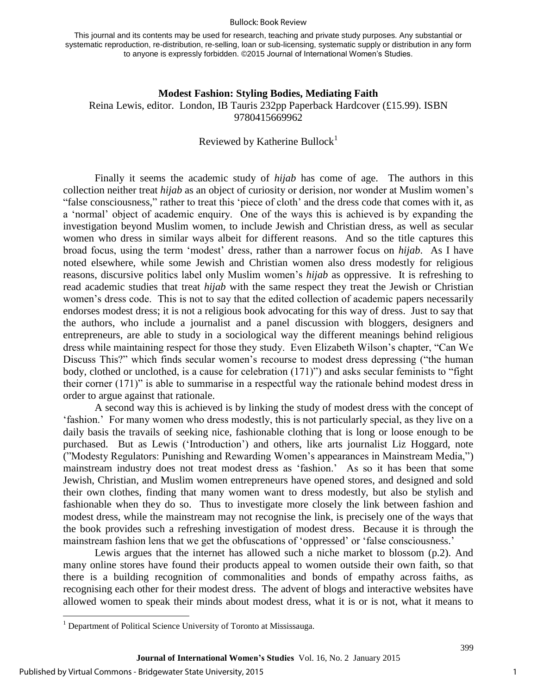#### Bullock: Book Review

This journal and its contents may be used for research, teaching and private study purposes. Any substantial or systematic reproduction, re-distribution, re-selling, loan or sub-licensing, systematic supply or distribution in any form to anyone is expressly forbidden. ©2015 Journal of International Women's Studies.

## **Modest Fashion: Styling Bodies, Mediating Faith**  Reina Lewis, editor. London, IB Tauris 232pp Paperback Hardcover (£15.99). ISBN 9780415669962

## Reviewed by Katherine Bullock<sup>1</sup>

Finally it seems the academic study of *hijab* has come of age. The authors in this collection neither treat *hijab* as an object of curiosity or derision, nor wonder at Muslim women's "false consciousness," rather to treat this 'piece of cloth' and the dress code that comes with it, as a 'normal' object of academic enquiry. One of the ways this is achieved is by expanding the investigation beyond Muslim women, to include Jewish and Christian dress, as well as secular women who dress in similar ways albeit for different reasons. And so the title captures this broad focus, using the term 'modest' dress, rather than a narrower focus on *hijab*. As I have noted elsewhere, while some Jewish and Christian women also dress modestly for religious reasons, discursive politics label only Muslim women's *hijab* as oppressive. It is refreshing to read academic studies that treat *hijab* with the same respect they treat the Jewish or Christian women's dress code. This is not to say that the edited collection of academic papers necessarily endorses modest dress; it is not a religious book advocating for this way of dress. Just to say that the authors, who include a journalist and a panel discussion with bloggers, designers and entrepreneurs, are able to study in a sociological way the different meanings behind religious dress while maintaining respect for those they study. Even Elizabeth Wilson's chapter, "Can We Discuss This?" which finds secular women's recourse to modest dress depressing ("the human body, clothed or unclothed, is a cause for celebration (171)") and asks secular feminists to "fight their corner (171)" is able to summarise in a respectful way the rationale behind modest dress in order to argue against that rationale.

A second way this is achieved is by linking the study of modest dress with the concept of 'fashion.' For many women who dress modestly, this is not particularly special, as they live on a daily basis the travails of seeking nice, fashionable clothing that is long or loose enough to be purchased. But as Lewis ('Introduction') and others, like arts journalist Liz Hoggard, note ("Modesty Regulators: Punishing and Rewarding Women's appearances in Mainstream Media,") mainstream industry does not treat modest dress as 'fashion.' As so it has been that some Jewish, Christian, and Muslim women entrepreneurs have opened stores, and designed and sold their own clothes, finding that many women want to dress modestly, but also be stylish and fashionable when they do so. Thus to investigate more closely the link between fashion and modest dress, while the mainstream may not recognise the link, is precisely one of the ways that the book provides such a refreshing investigation of modest dress. Because it is through the mainstream fashion lens that we get the obfuscations of 'oppressed' or 'false consciousness.'

Lewis argues that the internet has allowed such a niche market to blossom (p.2). And many online stores have found their products appeal to women outside their own faith, so that there is a building recognition of commonalities and bonds of empathy across faiths, as recognising each other for their modest dress. The advent of blogs and interactive websites have allowed women to speak their minds about modest dress, what it is or is not, what it means to

 $\overline{\phantom{a}}$ 

399

<sup>&</sup>lt;sup>1</sup> Department of Political Science University of Toronto at Mississauga.